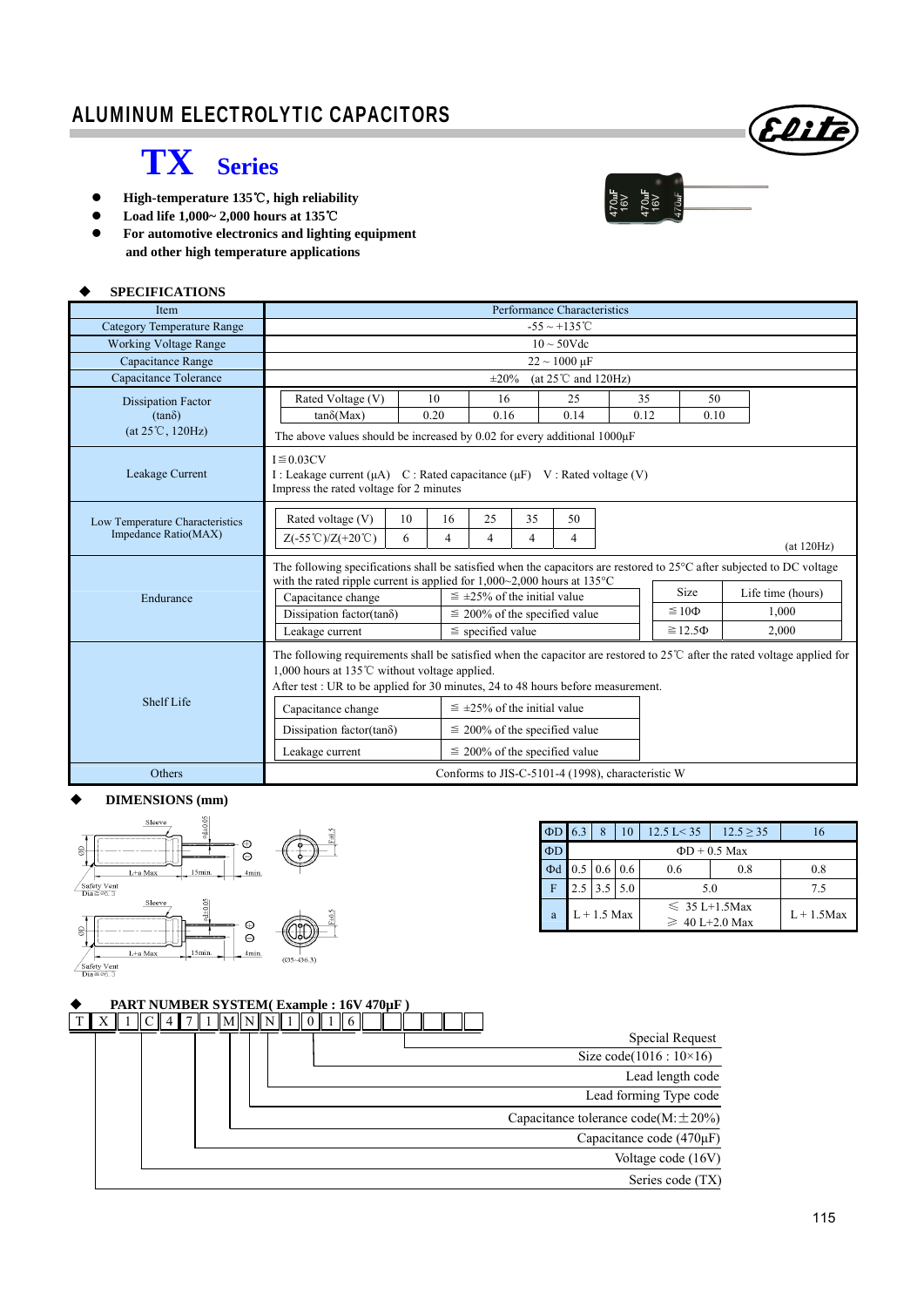# ALUMINUM ELECTROLYTIC CAPACITORS

# **TX Series**

- **●** High-temperature 135℃, high reliability
- **Load life 1,000~ 2,000 hours at 135**℃
- **For automotive electronics and lighting equipment and other high temperature applications**

### **SPECIFICATIONS**

| <b>Item</b>                                             | Performance Characteristics                                                                                                                                                                                                                                                         |                                                                                                                  |                                                   |                                                 |                                                                                                                                   |      |  |  |  |  |  |  |  |
|---------------------------------------------------------|-------------------------------------------------------------------------------------------------------------------------------------------------------------------------------------------------------------------------------------------------------------------------------------|------------------------------------------------------------------------------------------------------------------|---------------------------------------------------|-------------------------------------------------|-----------------------------------------------------------------------------------------------------------------------------------|------|--|--|--|--|--|--|--|
| <b>Category Temperature Range</b>                       |                                                                                                                                                                                                                                                                                     |                                                                                                                  |                                                   | $-55 \sim +135^{\circ}$ C                       |                                                                                                                                   |      |  |  |  |  |  |  |  |
| <b>Working Voltage Range</b>                            | $10 \sim 50$ Vdc                                                                                                                                                                                                                                                                    |                                                                                                                  |                                                   |                                                 |                                                                                                                                   |      |  |  |  |  |  |  |  |
| Capacitance Range                                       | $22 \sim 1000 \,\mu F$                                                                                                                                                                                                                                                              |                                                                                                                  |                                                   |                                                 |                                                                                                                                   |      |  |  |  |  |  |  |  |
| Capacitance Tolerance                                   | (at $25^{\circ}$ C and $120$ Hz)<br>$\pm 20\%$                                                                                                                                                                                                                                      |                                                                                                                  |                                                   |                                                 |                                                                                                                                   |      |  |  |  |  |  |  |  |
| <b>Dissipation Factor</b>                               | Rated Voltage (V)                                                                                                                                                                                                                                                                   | 10                                                                                                               | 16                                                | 25                                              | 35                                                                                                                                | 50   |  |  |  |  |  |  |  |
| $(tan\delta)$                                           | $tan\delta(Max)$                                                                                                                                                                                                                                                                    | 0.20                                                                                                             | 0.16                                              | 0.14                                            | 0.12                                                                                                                              | 0.10 |  |  |  |  |  |  |  |
| $(at 25^{\circ}C, 120Hz)$                               | The above values should be increased by 0.02 for every additional $1000\mu$ F                                                                                                                                                                                                       |                                                                                                                  |                                                   |                                                 |                                                                                                                                   |      |  |  |  |  |  |  |  |
| Leakage Current                                         | $I \leq 0.03CV$<br>I: Leakage current $(\mu A)$ C: Rated capacitance $(\mu F)$ V: Rated voltage (V)<br>Impress the rated voltage for 2 minutes                                                                                                                                      |                                                                                                                  |                                                   |                                                 |                                                                                                                                   |      |  |  |  |  |  |  |  |
| Low Temperature Characteristics<br>Impedance Ratio(MAX) | Rated voltage (V)<br>10<br>16<br>25<br>35<br>50<br>$Z(-55^{\circ}\text{C})/Z(+20^{\circ}\text{C})$<br>6<br>4<br>4<br>4<br>$\overline{4}$<br>(at 120Hz)                                                                                                                              |                                                                                                                  |                                                   |                                                 |                                                                                                                                   |      |  |  |  |  |  |  |  |
| Endurance                                               | The following specifications shall be satisfied when the capacitors are restored to 25°C after subjected to DC voltage<br>with the rated ripple current is applied for $1,000~2,000$ hours at $135°C$<br>Capacitance change<br>Dissipation factor(tan $\delta$ )<br>Leakage current | $\leq \pm 25\%$ of the initial value<br>$\leq$ 200% of the specified value<br>$\le$ specified value              |                                                   | <b>Size</b><br>$\leq 10\Phi$<br>$\geq 12.5\Phi$ | Life time (hours)<br>1.000<br>2,000                                                                                               |      |  |  |  |  |  |  |  |
| Shelf Life                                              | 1,000 hours at 135 $\degree$ C without voltage applied.<br>After test : UR to be applied for 30 minutes, 24 to 48 hours before measurement.<br>Capacitance change<br>Dissipation factor(tan $\delta$ )<br>Leakage current                                                           | $\leq \pm 25\%$ of the initial value<br>$\leq$ 200% of the specified value<br>$\leq$ 200% of the specified value |                                                   |                                                 | The following requirements shall be satisfied when the capacitor are restored to $25^{\circ}$ after the rated voltage applied for |      |  |  |  |  |  |  |  |
| <b>Others</b>                                           |                                                                                                                                                                                                                                                                                     |                                                                                                                  | Conforms to JIS-C-5101-4 (1998), characteristic W |                                                 |                                                                                                                                   |      |  |  |  |  |  |  |  |

#### **DIMENSIONS (mm)**



| $\Phi$ D | 6.3                | 8                             | 10 | $12.5 \text{ L} < 35$                     | $12.5 \ge 35$ | 16  |  |  |  |  |
|----------|--------------------|-------------------------------|----|-------------------------------------------|---------------|-----|--|--|--|--|
| $\Phi$ D | $\Phi$ D + 0.5 Max |                               |    |                                           |               |     |  |  |  |  |
| $\Phi$ d |                    | $0.5 \,   \, 0.6 \,   \, 0.6$ |    | 0.6                                       | 0.8           | 0.8 |  |  |  |  |
| F        |                    | $2.5$ 3.5 5.0                 |    | 5.0                                       |               | 7.5 |  |  |  |  |
| a        |                    | $L + 1.5$ Max                 |    | $\leq 35$ L+1.5Max<br>$\geq 40$ L+2.0 Max | $L + 1.5$ Max |     |  |  |  |  |

|  | <b>PART NUMBER SYSTEM(Example: 16V 470µF)</b> |  |  |  |  |             |  |  |  |  |  |  |                                          |
|--|-----------------------------------------------|--|--|--|--|-------------|--|--|--|--|--|--|------------------------------------------|
|  |                                               |  |  |  |  | M  N  N   1 |  |  |  |  |  |  |                                          |
|  |                                               |  |  |  |  |             |  |  |  |  |  |  | Special Request                          |
|  |                                               |  |  |  |  |             |  |  |  |  |  |  | Size code( $1016 : 10 \times 16$ )       |
|  |                                               |  |  |  |  |             |  |  |  |  |  |  | Lead length code                         |
|  |                                               |  |  |  |  |             |  |  |  |  |  |  | Lead forming Type code                   |
|  |                                               |  |  |  |  |             |  |  |  |  |  |  | Capacitance tolerance code(M: $\pm$ 20%) |
|  |                                               |  |  |  |  |             |  |  |  |  |  |  | Capacitance code (470µF)                 |
|  |                                               |  |  |  |  |             |  |  |  |  |  |  | Voltage code (16V)                       |
|  |                                               |  |  |  |  |             |  |  |  |  |  |  | Series code (TX)                         |